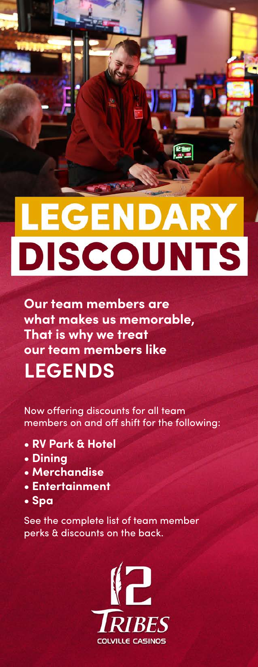## **LEGENDARY DISCOUNTS**

e

**Our team members are what makes us memorable, That is why we treat our team members like LEGENDS**

Now offering discounts for all team members on and off shift for the following:

- **RV Park & Hotel**
- **Dining**
- **Merchandise**
- **Entertainment**
- **Spa**

See the complete list of team member perks & discounts on the back.